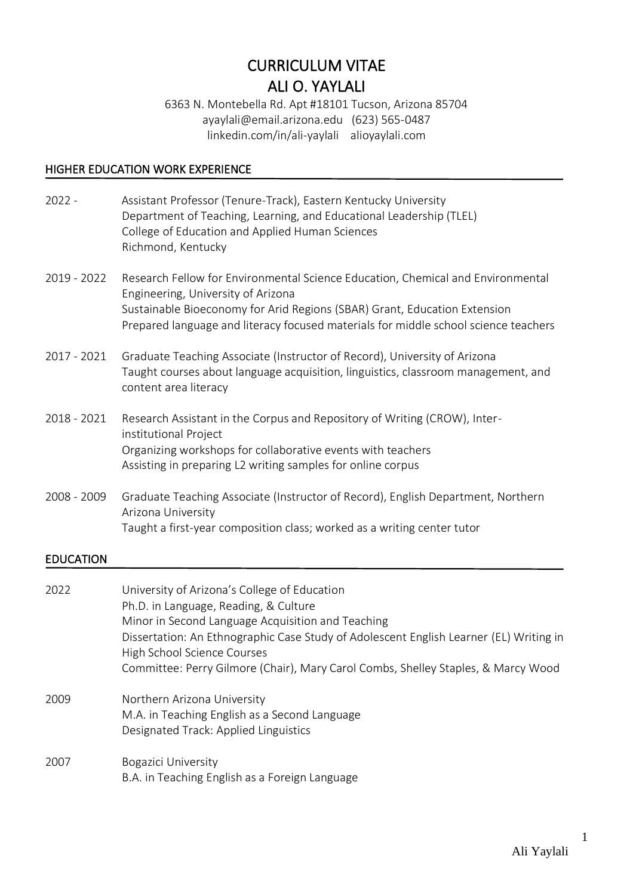# CURRICULUM VITAE ALI O. YAYLALI

6363 N. Montebella Rd. Apt #18101 Tucson, Arizona 85704 ayaylali@email.arizona.edu (623) 565-0487 linkedin.com/in/ali-yaylali alioyaylali.com

## HIGHER EDUCATION WORK EXPERIENCE

| $2022 -$    | Assistant Professor (Tenure-Track), Eastern Kentucky University<br>Department of Teaching, Learning, and Educational Leadership (TLEL)<br>College of Education and Applied Human Sciences<br>Richmond, Kentucky                                                                           |
|-------------|-------------------------------------------------------------------------------------------------------------------------------------------------------------------------------------------------------------------------------------------------------------------------------------------|
| 2019 - 2022 | Research Fellow for Environmental Science Education, Chemical and Environmental<br>Engineering, University of Arizona<br>Sustainable Bioeconomy for Arid Regions (SBAR) Grant, Education Extension<br>Prepared language and literacy focused materials for middle school science teachers |
| 2017 - 2021 | Graduate Teaching Associate (Instructor of Record), University of Arizona<br>Taught courses about language acquisition, linguistics, classroom management, and<br>content area literacy                                                                                                   |
| 2018 - 2021 | Research Assistant in the Corpus and Repository of Writing (CROW), Inter-<br>institutional Project<br>Organizing workshops for collaborative events with teachers<br>Assisting in preparing L2 writing samples for online corpus                                                          |
| 2008 - 2009 | Graduate Teaching Associate (Instructor of Record), English Department, Northern<br>Arizona University<br>Taught a first-year composition class; worked as a writing center tutor                                                                                                         |

# EDUCATION

| 2022 | University of Arizona's College of Education<br>Ph.D. in Language, Reading, & Culture<br>Minor in Second Language Acquisition and Teaching<br>Dissertation: An Ethnographic Case Study of Adolescent English Learner (EL) Writing in<br>High School Science Courses<br>Committee: Perry Gilmore (Chair), Mary Carol Combs, Shelley Staples, & Marcy Wood |
|------|----------------------------------------------------------------------------------------------------------------------------------------------------------------------------------------------------------------------------------------------------------------------------------------------------------------------------------------------------------|
| 2009 | Northern Arizona University<br>M.A. in Teaching English as a Second Language<br>Designated Track: Applied Linguistics                                                                                                                                                                                                                                    |
| 2007 | Bogazici University<br>B.A. in Teaching English as a Foreign Language                                                                                                                                                                                                                                                                                    |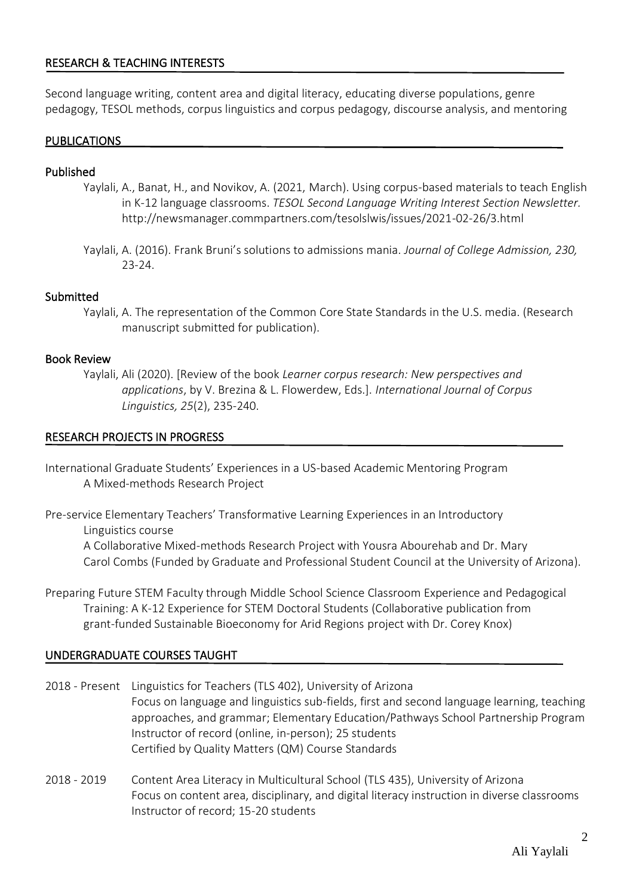## RESEARCH & TEACHING INTERESTS

Second language writing, content area and digital literacy, educating diverse populations, genre pedagogy, TESOL methods, corpus linguistics and corpus pedagogy, discourse analysis, and mentoring

#### PUBLICATIONS

#### Published

- Yaylali, A., Banat, H., and Novikov, A. (2021, March). Using corpus-based materials to teach English in K-12 language classrooms. *TESOL Second Language Writing Interest Section Newsletter.*  http://newsmanager.commpartners.com/tesolslwis/issues/2021-02-26/3.html
- Yaylali, A. (2016). Frank Bruni's solutions to admissions mania. *Journal of College Admission, 230,*  23-24.

#### Submitted

Yaylali, A. The representation of the Common Core State Standards in the U.S. media. (Research manuscript submitted for publication).

#### Book Review

Yaylali, Ali (2020). [Review of the book *Learner corpus research: New perspectives and applications*, by V. Brezina & L. Flowerdew, Eds.]. *International Journal of Corpus Linguistics, 25*(2), 235-240.

#### RESEARCH PROJECTS IN PROGRESS

- International Graduate Students' Experiences in a US-based Academic Mentoring Program A Mixed-methods Research Project
- Pre-service Elementary Teachers' Transformative Learning Experiences in an Introductory Linguistics course

A Collaborative Mixed-methods Research Project with Yousra Abourehab and Dr. Mary Carol Combs (Funded by Graduate and Professional Student Council at the University of Arizona).

Preparing Future STEM Faculty through Middle School Science Classroom Experience and Pedagogical Training: A K-12 Experience for STEM Doctoral Students (Collaborative publication from grant-funded Sustainable Bioeconomy for Arid Regions project with Dr. Corey Knox)

## UNDERGRADUATE COURSES TAUGHT

- 2018 Present Linguistics for Teachers (TLS 402), University of Arizona Focus on language and linguistics sub-fields, first and second language learning, teaching approaches, and grammar; Elementary Education/Pathways School Partnership Program Instructor of record (online, in-person); 25 students Certified by Quality Matters (QM) Course Standards
- 2018 2019 Content Area Literacy in Multicultural School (TLS 435), University of Arizona Focus on content area, disciplinary, and digital literacy instruction in diverse classrooms Instructor of record; 15-20 students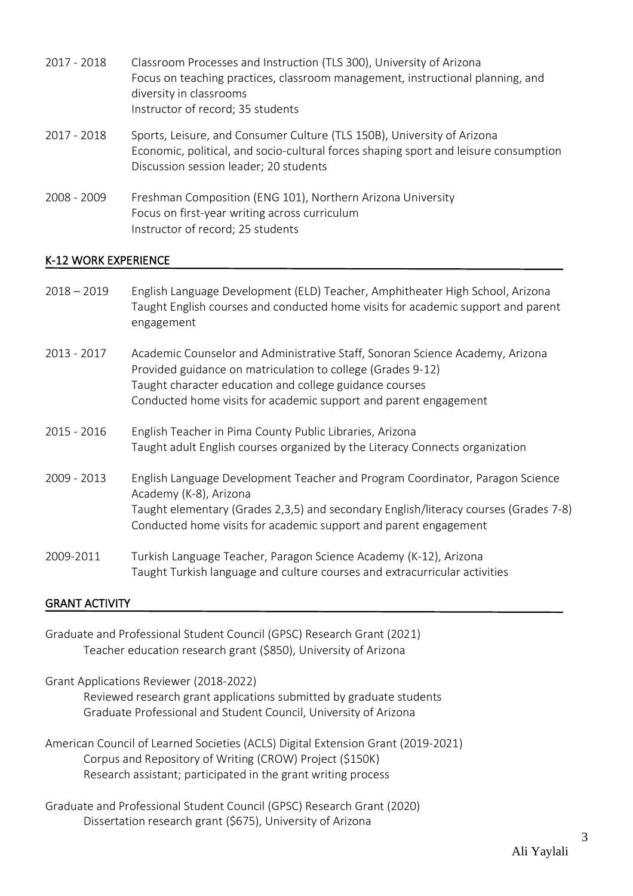| 2017 - 2018 | Classroom Processes and Instruction (TLS 300), University of Arizona<br>Focus on teaching practices, classroom management, instructional planning, and<br>diversity in classrooms<br>Instructor of record; 35 students |
|-------------|------------------------------------------------------------------------------------------------------------------------------------------------------------------------------------------------------------------------|
| 2017 - 2018 | Sports, Leisure, and Consumer Culture (TLS 150B), University of Arizona<br>Economic, political, and socio-cultural forces shaping sport and leisure consumption<br>Discussion session leader; 20 students              |
| 2008 - 2009 | Freshman Composition (ENG 101), Northern Arizona University<br>Focus on first-year writing across curriculum<br>Instructor of record; 25 students                                                                      |

## K-12 WORK EXPERIENCE

| $2018 - 2019$ | English Language Development (ELD) Teacher, Amphitheater High School, Arizona<br>Taught English courses and conducted home visits for academic support and parent<br>engagement                                                                                             |
|---------------|-----------------------------------------------------------------------------------------------------------------------------------------------------------------------------------------------------------------------------------------------------------------------------|
| 2013 - 2017   | Academic Counselor and Administrative Staff, Sonoran Science Academy, Arizona<br>Provided guidance on matriculation to college (Grades 9-12)<br>Taught character education and college guidance courses<br>Conducted home visits for academic support and parent engagement |
| 2015 - 2016   | English Teacher in Pima County Public Libraries, Arizona<br>Taught adult English courses organized by the Literacy Connects organization                                                                                                                                    |
| 2009 - 2013   | English Language Development Teacher and Program Coordinator, Paragon Science<br>Academy (K-8), Arizona<br>Taught elementary (Grades 2,3,5) and secondary English/literacy courses (Grades 7-8)<br>Conducted home visits for academic support and parent engagement         |
| 2009-2011     | Turkish Language Teacher, Paragon Science Academy (K-12), Arizona<br>Taught Turkish language and culture courses and extracurricular activities                                                                                                                             |

# GRANT ACTIVITY

| Graduate and Professional Student Council (GPSC) Research Grant (2021) |
|------------------------------------------------------------------------|
| Teacher education research grant (\$850), University of Arizona        |

Grant Applications Reviewer (2018-2022) Reviewed research grant applications submitted by graduate students

Graduate Professional and Student Council, University of Arizona

American Council of Learned Societies (ACLS) Digital Extension Grant (2019-2021) Corpus and Repository of Writing (CROW) Project (\$150K) Research assistant; participated in the grant writing process

Graduate and Professional Student Council (GPSC) Research Grant (2020) Dissertation research grant (\$675), University of Arizona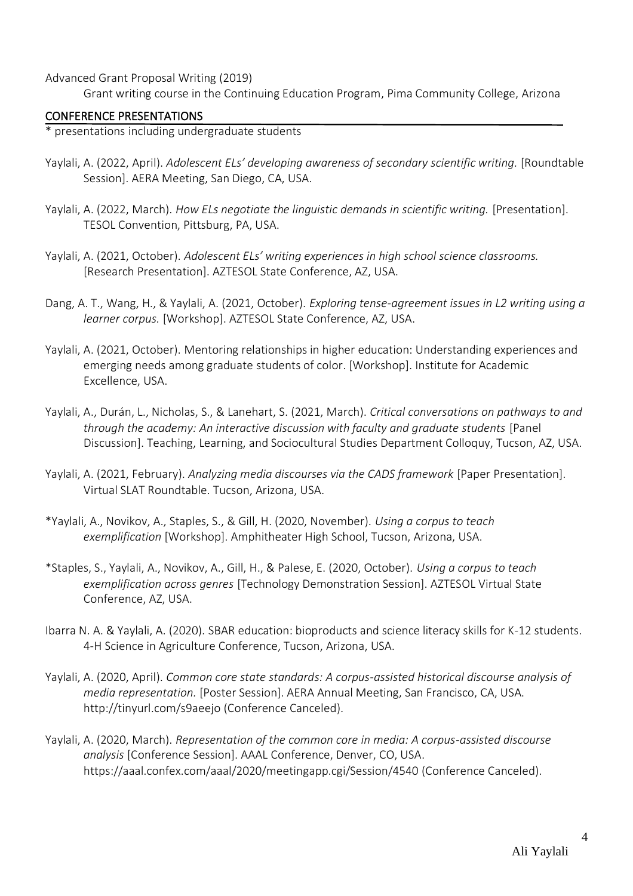Advanced Grant Proposal Writing (2019)

Grant writing course in the Continuing Education Program, Pima Community College, Arizona

#### CONFERENCE PRESENTATIONS

\* presentations including undergraduate students

- Yaylali, A. (2022, April). *Adolescent ELs' developing awareness of secondary scientific writing.* [Roundtable Session]. AERA Meeting, San Diego, CA, USA.
- Yaylali, A. (2022, March). *How ELs negotiate the linguistic demands in scientific writing.* [Presentation]. TESOL Convention, Pittsburg, PA, USA.
- Yaylali, A. (2021, October). *Adolescent ELs' writing experiences in high school science classrooms.* [Research Presentation]. AZTESOL State Conference, AZ, USA.
- Dang, A. T., Wang, H., & Yaylali, A. (2021, October). *Exploring tense-agreement issues in L2 writing using a learner corpus.* [Workshop]. AZTESOL State Conference, AZ, USA.
- Yaylali, A. (2021, October). Mentoring relationships in higher education: Understanding experiences and emerging needs among graduate students of color. [Workshop]. Institute for Academic Excellence, USA.
- Yaylali, A., Durán, L., Nicholas, S., & Lanehart, S. (2021, March). *Critical conversations on pathways to and through the academy: An interactive discussion with faculty and graduate students* [Panel Discussion]. Teaching, Learning, and Sociocultural Studies Department Colloquy, Tucson, AZ, USA.
- Yaylali, A. (2021, February). *Analyzing media discourses via the CADS framework* [Paper Presentation]. Virtual SLAT Roundtable. Tucson, Arizona, USA.
- \*Yaylali, A., Novikov, A., Staples, S., & Gill, H. (2020, November). *Using a corpus to teach exemplification* [Workshop]. Amphitheater High School, Tucson, Arizona, USA.
- \*Staples, S., Yaylali, A., Novikov, A., Gill, H., & Palese, E. (2020, October). *Using a corpus to teach exemplification across genres* [Technology Demonstration Session]. AZTESOL Virtual State Conference, AZ, USA.
- Ibarra N. A. & Yaylali, A. (2020). SBAR education: bioproducts and science literacy skills for K-12 students. 4-H Science in Agriculture Conference, Tucson, Arizona, USA.
- Yaylali, A. (2020, April). *Common core state standards: A corpus-assisted historical discourse analysis of media representation.* [Poster Session]. AERA Annual Meeting, San Francisco, CA, USA. <http://tinyurl.com/s9aeejo> (Conference Canceled).
- Yaylali, A. (2020, March). *Representation of the common core in media: A corpus-assisted discourse analysis* [Conference Session]. AAAL Conference, Denver, CO, USA. <https://aaal.confex.com/aaal/2020/meetingapp.cgi/Session/4540> (Conference Canceled).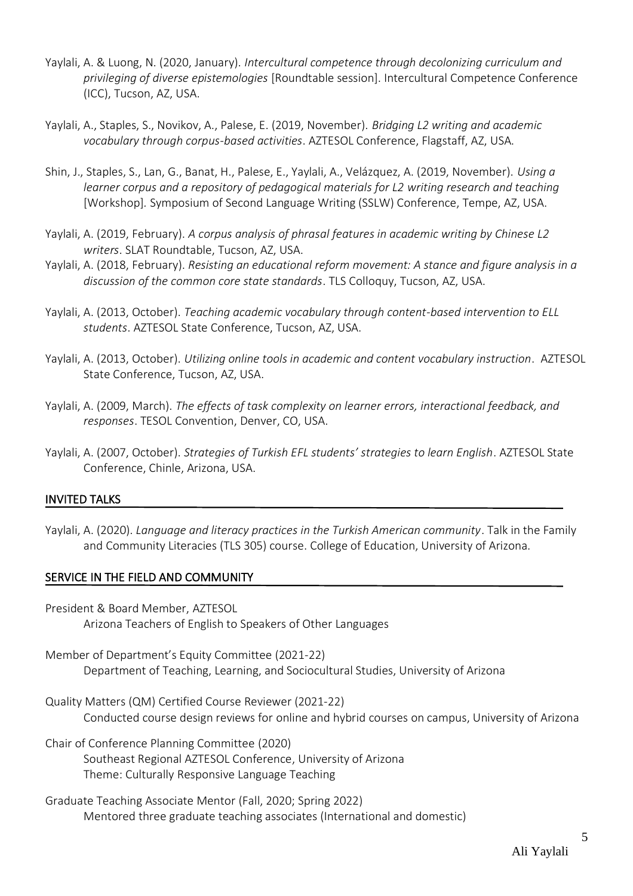- Yaylali, A. & Luong, N. (2020, January). *Intercultural competence through decolonizing curriculum and privileging of diverse epistemologies* [Roundtable session]. Intercultural Competence Conference (ICC), Tucson, AZ, USA.
- Yaylali, A., Staples, S., Novikov, A., Palese, E. (2019, November). *Bridging L2 writing and academic vocabulary through corpus-based activities*. AZTESOL Conference, Flagstaff, AZ, USA.
- Shin, J., Staples, S., Lan, G., Banat, H., Palese, E., Yaylali, A., Velázquez, A. (2019, November). *Using a learner corpus and a repository of pedagogical materials for L2 writing research and teaching* [Workshop]*.* Symposium of Second Language Writing (SSLW) Conference, Tempe, AZ, USA.
- Yaylali, A. (2019, February). *A corpus analysis of phrasal features in academic writing by Chinese L2 writers*. SLAT Roundtable, Tucson, AZ, USA.
- Yaylali, A. (2018, February). *Resisting an educational reform movement: A stance and figure analysis in a discussion of the common core state standards*. TLS Colloquy, Tucson, AZ, USA.
- Yaylali, A. (2013, October). *Teaching academic vocabulary through content-based intervention to ELL students*. AZTESOL State Conference, Tucson, AZ, USA.
- Yaylali, A. (2013, October). *Utilizing online tools in academic and content vocabulary instruction*. AZTESOL State Conference, Tucson, AZ, USA.
- Yaylali, A. (2009, March). *The effects of task complexity on learner errors, interactional feedback, and responses*. TESOL Convention, Denver, CO, USA.
- Yaylali, A. (2007, October). *Strategies of Turkish EFL students' strategies to learn English*. AZTESOL State Conference, Chinle, Arizona, USA.

## INVITED TALKS

Yaylali, A. (2020). *Language and literacy practices in the Turkish American community*. Talk in the Family and Community Literacies (TLS 305) course. College of Education, University of Arizona.

#### SERVICE IN THE FIELD AND COMMUNITY

- President & Board Member, AZTESOL Arizona Teachers of English to Speakers of Other Languages
- Member of Department's Equity Committee (2021-22) Department of Teaching, Learning, and Sociocultural Studies, University of Arizona
- Quality Matters (QM) Certified Course Reviewer (2021-22) Conducted course design reviews for online and hybrid courses on campus, University of Arizona

Chair of Conference Planning Committee (2020) Southeast Regional AZTESOL Conference, University of Arizona Theme: Culturally Responsive Language Teaching

Graduate Teaching Associate Mentor (Fall, 2020; Spring 2022) Mentored three graduate teaching associates (International and domestic)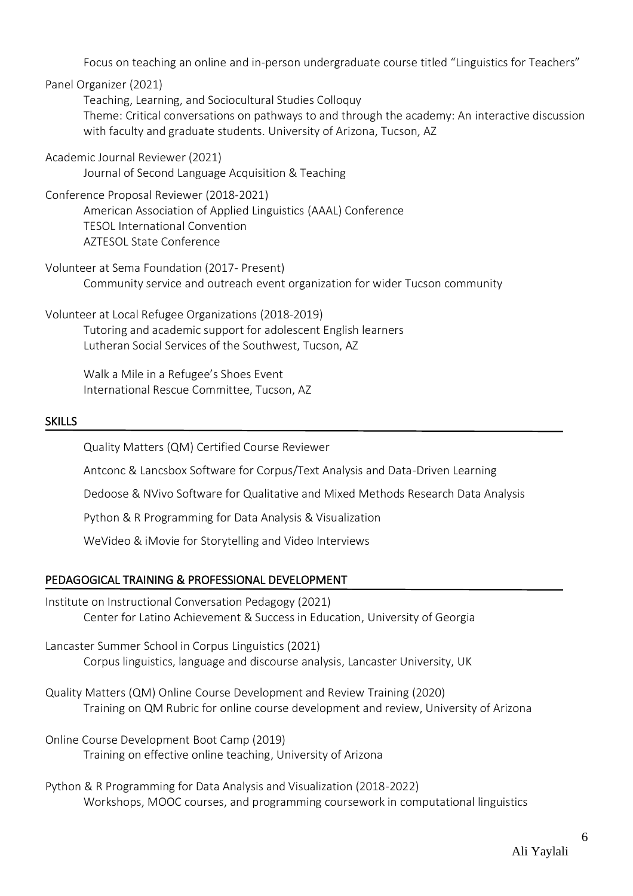Focus on teaching an online and in-person undergraduate course titled "Linguistics for Teachers"

Panel Organizer (2021)

Teaching, Learning, and Sociocultural Studies Colloquy Theme: Critical conversations on pathways to and through the academy: An interactive discussion with faculty and graduate students. University of Arizona, Tucson, AZ

Academic Journal Reviewer (2021) Journal of Second Language Acquisition & Teaching

## Conference Proposal Reviewer (2018-2021)

American Association of Applied Linguistics (AAAL) Conference TESOL International Convention AZTESOL State Conference

- Volunteer at Sema Foundation (2017- Present) Community service and outreach event organization for wider Tucson community
- Volunteer at Local Refugee Organizations (2018-2019) Tutoring and academic support for adolescent English learners Lutheran Social Services of the Southwest, Tucson, AZ

Walk a Mile in a Refugee's Shoes Event International Rescue Committee, Tucson, AZ

## SKILLS

Ī

Quality Matters (QM) Certified Course Reviewer

Antconc & Lancsbox Software for Corpus/Text Analysis and Data-Driven Learning

Dedoose & NVivo Software for Qualitative and Mixed Methods Research Data Analysis

Python & R Programming for Data Analysis & Visualization

WeVideo & iMovie for Storytelling and Video Interviews

# PEDAGOGICAL TRAINING & PROFESSIONAL DEVELOPMENT

- Ï Institute on Instructional Conversation Pedagogy (2021) Center for Latino Achievement & Success in Education, University of Georgia
- Lancaster Summer School in Corpus Linguistics (2021) Corpus linguistics, language and discourse analysis, Lancaster University, UK
- Quality Matters (QM) Online Course Development and Review Training (2020) Training on QM Rubric for online course development and review, University of Arizona
- Online Course Development Boot Camp (2019) Training on effective online teaching, University of Arizona
- Python & R Programming for Data Analysis and Visualization (2018-2022) Workshops, MOOC courses, and programming coursework in computational linguistics